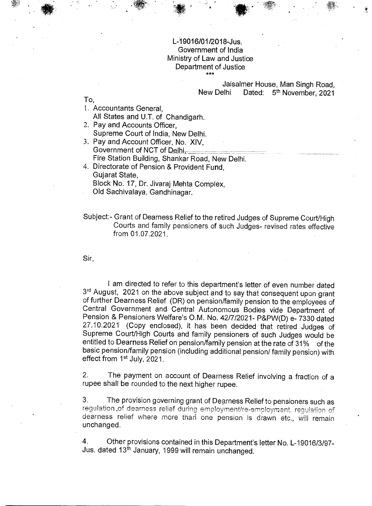## L-19016/01/2018-Jus. Government of India Ministry of Law and Justice Department of Justice \*\*\*

## Jaisalmer House, Man Singh Road, New Delhi Dated: 5<sup>th</sup> November, 2021

#### To,

- 1. Accountants General, All States and U.T. of Chandigarh.
- 2. Pay and Accounts Officer, Supreme Court of India, New Delhi.
- 3. Pay and Account Officer, No. XIV, Government of NCT of Delhi, Fire Station Building, Shankar Road, New Delhi.
- 4. Directorate of Pension & Provident Fund, Gujarat State, Block No. 17, Dr. Jivaraj Mehta Complex, Old Sachivalaya, Gandhinagar.
- Subject:- Grant of Dearness Relief to the retired Judges of Supreme Court/High Courts and family pensioners of such Judges- revised rates effective from 01.07.2021.

#### Sir,

I am directed to refer to this department's letter of even number dated 3rd August, 2021 on the above subject and to say that consequent upon grant of further Dearness Relief (DR) on pension/family pension to the employees of Central Government and. Central Autonomous Bodies vide Department of Pension & Pensioners Welfare's O.M. No. 42/7/2021- P&PW(D) e- 7330 dated 27.10.2021 (Copy enclosed), it has been decided that retired Judges of Supreme Court/High Courts and family pensioners of such Judges would be entitled to Dearness Relief on pension/family pension at the rate of 31% of the basic pension/family pension (including additional pension/ family pension) with effect from 1st July, 2021.

2. The payment on account of Dearness Relief involving a fraction of a rupee shall be rounded to the next higher rupee.

3. The provision governing grant of Dearness Relief to pensioners such as regulation of dearness relief during employment/re-employment, regulation of dearness relief where more than one pension is drawn etc., will remain unchanged.

4. Other provisions contained in this Department's letter No. L-19016/3/97- Jus. dated 13<sup>th</sup> January, 1999 will remain unchanged.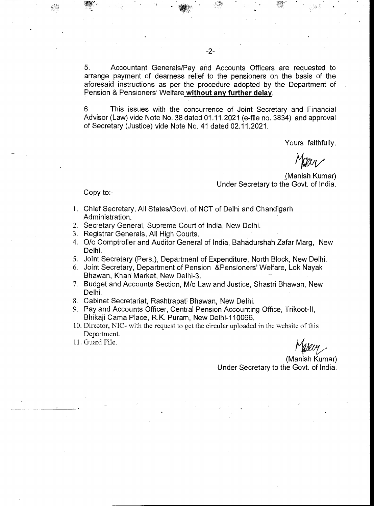5. Accountant Generals/Pay and Accounts Officers are requested to arrange payment of dearness relief to the pensioners on the basis of the aforesaid instructions as per the procedure adopted by the Department of Pension & Pensioners' Welfare **without any further delay.** 

6. This issues with the concurrence of Joint Secretary and Financial Advisor (Law) vide Note No. 38 dated 01.11.2021 (e-file no. 3834) and approval of Secretary (Justice) vide Note No. 41 dated 02.11.2021.

Yours faithfully,

(Manish Kumar) Under Secretary to the Govt. of India.

Copy to:-

- 1. Chief Secretary, All States/Govt. of NCT of Delhi and Chandigarh Administration.
- 2. Secretary General, Supreme Court of India, New Delhi.
- 3. Registrar Generals, All High Courts.
- 4. 0/o Comptroller and Auditor General of India, Bahadurshah Zafar Marg, New Delhi.
- 5. Joint Secretary (Pers.), Department of Expenditure, North Block, New Delhi.
- 6. Joint Secretary, Department of Pension &Pensioners' Welfare, Lok Nayak Bhawan, Khan Market, New Delhi-3.
- 7. Budget and Accounts Section, M/o Law and Justice, Shastri Bhawan, New Delhi.
- 8. Cabinet Secretariat, Rashtrapati Bhawan, New Delhi.
- 9. Pay and Accounts Officer, Central Pension Accounting Office, Trikoot-II, Bhikaji Cama Place, R.K. Puram, New Delhi-110066.
- 10. Director, NIC- with the request to get the circular uploaded in the website of this Department.
- 11. Guard File.

(Manish Kumar) Under Secretary to the Govt. of India.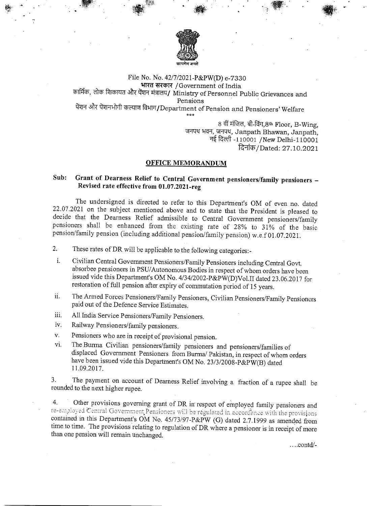

# File No. No. 42/7/2021-P&PW(D) e-7330 भारत सरकार /Government of India कार्मिक, लोक शिकायत और पेंशन मंत्रालय/  $\dot{\text{M}}$ inistry of Personnel Public Grievances and Pensions ओर पेंशनभोगी कल्याण विभाग/Department of Pension and Pensioners' Welfare<br>\*\*\*

8 वीं मंजिल, बी-विंग, $8^{\rm th}$  Floor, B-Wing, जनपथ भवन, जनपथ, Janpath Bhawan, Janpath, नई दिल्ली -110001 /New Delhi-110001 दिनांक/Dated: 27.10.2021

#### **OFFICE MEMORANDUM**

## **Sub: Grant of Dearness Relief to Central Government pensioners/family pensioners — Revised rate effective from 01.07.2021-reg**

The undersigned is directed to refer to this Department's OM of even no. dated 22.07.2021 on the subject mentioned above and to state that the President is pleased to decide that the Dearness Relief admissible to Central Government pensioners/family pensioners shall be enhanced from the existing rate of 28% to 31% of the basic pension/family pension (including additional pension/family pension) w.e.f 01.07.2021.

2. These rates of DR will be applicable to the following categories:-

- i. Civilian Central Government Pensioners/Family Pensioners including Central Govt. absorbee pensioners in PSU/Autonomous Bodies in respect of whom orders have been issued vide this Department's OM No. 4/34/2002-P&PW(D)Vol.11 dated 23.06.2017 for restoration of full pension after expiry of commutation period of 15 years.
- ii. The Armed Forces Pensioners/Family Pensioners, Civilian Pensioners/Family Pensioners paid out of the Defence Service Estimates.
- iii. All India Service Pensioners/Family Pensioners.
- iv. Railway Pensioners/family pensioners.
- v. Pensioners who are in receipt of provisional pension.
- vi. The Burma Civilian pensioners/family pensioners and pensioners/families of displaced Government Pensioners from Burma/ Pakistan, in respect of whom orders have been issued vide this Department's OM No. 23/3/2008-P&PW(B) dated 11.09.2017.

3. The payment on account of Dearness Relief involving a fraction of a rupee shall be rounded to the next higher rupee.

4. Other provisions governing grant of DR in'respect of employed family pensioners and re-employed Central Government Pensioners will be regulated in accordance with the provisions contained in this Department's OM No. 45/73/97-P&PW (G) dated 2.7.1999 as amended from time to time. The provisions relating to regulation of DR where a pensioner is in receipt of more than one pension will remain unchanged.

....contd/-